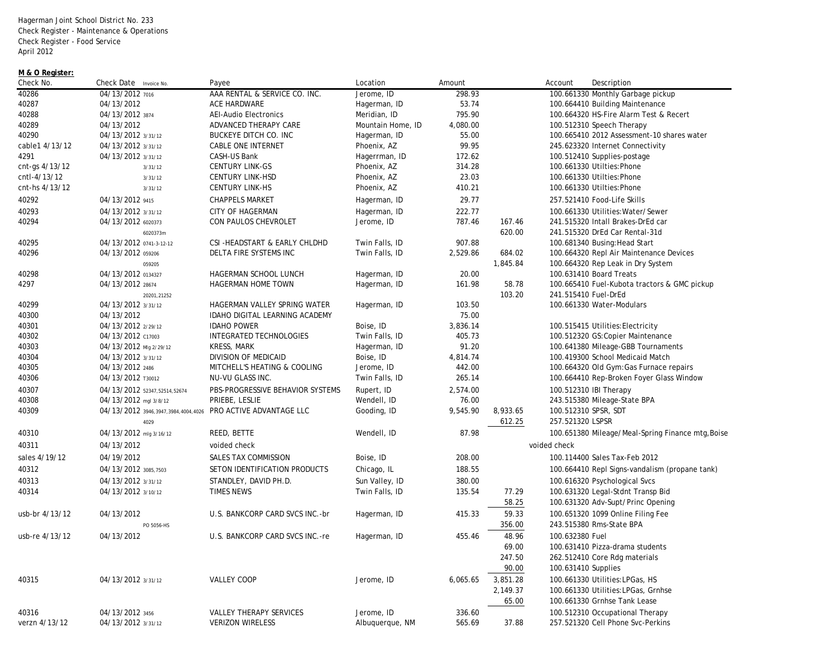Hagerman Joint School District No. 233 Check Register - Maintenance & Operations Check Register - Food Service April 2012

## **M & O Register:**

| Check No.      | Check Date Invoice No.                                       | Payee                                                     | Location          | Amount           |          | Account<br>Description                                               |
|----------------|--------------------------------------------------------------|-----------------------------------------------------------|-------------------|------------------|----------|----------------------------------------------------------------------|
| 40286          | 04/13/2012 7016                                              | AAA RENTAL & SERVICE CO. INC.                             | Jerome, ID        | 298.93           |          | 100.661330 Monthly Garbage pickup                                    |
| 40287          | 04/13/2012                                                   | ACE HARDWARE                                              | Hagerman, ID      | 53.74            |          | 100.664410 Building Maintenance                                      |
| 40288          | 04/13/2012 3874                                              | <b>AEI-Audio Electronics</b>                              | Meridian, ID      | 795.90           |          | 100.664320 HS-Fire Alarm Test & Recert                               |
| 40289          | 04/13/2012                                                   | ADVANCED THERAPY CARE                                     | Mountain Home, ID | 4,080.00         |          | 100.512310 Speech Therapy                                            |
| 40290          | 04/13/2012 3/31/12                                           | <b>BUCKEYE DITCH CO. INC</b>                              | Hagerman, ID      | 55.00            |          | 100.665410 2012 Assessment-10 shares water                           |
| cable1 4/13/12 | 04/13/2012 3/31/12                                           | <b>CABLE ONE INTERNET</b>                                 | Phoenix, AZ       | 99.95            |          | 245.623320 Internet Connectivity                                     |
| 4291           | 04/13/2012 3/31/12                                           | CASH-US Bank                                              | Hagerrman, ID     | 172.62           |          | 100.512410 Supplies-postage                                          |
| cnt-gs 4/13/12 | 3/31/12                                                      | <b>CENTURY LINK-GS</b>                                    | Phoenix, AZ       | 314.28           |          | 100.661330 Utilties: Phone                                           |
| cntl-4/13/12   | 3/31/12                                                      | <b>CENTURY LINK-HSD</b>                                   | Phoenix, AZ       | 23.03            |          | 100.661330 Utilties: Phone                                           |
| cnt-hs 4/13/12 | 3/31/12                                                      | <b>CENTURY LINK-HS</b>                                    | Phoenix, AZ       | 410.21           |          | 100.661330 Utilties: Phone                                           |
| 40292          | 04/13/2012 9415                                              | <b>CHAPPELS MARKET</b>                                    | Hagerman, ID      | 29.77            |          | 257.521410 Food-Life Skills                                          |
| 40293          | 04/13/2012 3/31/12                                           | <b>CITY OF HAGERMAN</b>                                   | Hagerman, ID      | 222.77           |          | 100.661330 Utilities: Water/Sewer                                    |
| 40294          | 04/13/2012 6020373                                           | CON PAULOS CHEVROLET                                      | Jerome, ID        | 787.46           | 167.46   | 241.515320 Intall Brakes-DrEd car                                    |
|                | 6020373m                                                     |                                                           |                   |                  | 620.00   | 241.515320 DrEd Car Rental-31d                                       |
| 40295          | 04/13/2012 0741-3-12-12                                      | CSI-HEADSTART & EARLY CHLDHD                              | Twin Falls, ID    | 907.88           |          | 100.681340 Busing: Head Start                                        |
| 40296          | 04/13/2012 059206                                            | DELTA FIRE SYSTEMS INC                                    | Twin Falls, ID    | 2,529.86         | 684.02   | 100.664320 Repl Air Maintenance Devices                              |
|                | 059205                                                       |                                                           |                   |                  | 1,845.84 | 100.664320 Rep Leak in Dry System                                    |
| 40298          | 04/13/2012 0134327                                           | HAGERMAN SCHOOL LUNCH                                     | Hagerman, ID      | 20.00            |          | 100.631410 Board Treats                                              |
| 4297           | 04/13/2012 28674                                             | HAGERMAN HOME TOWN                                        | Hagerman, ID      | 161.98           | 58.78    | 100.665410 Fuel-Kubota tractors & GMC pickup                         |
|                | 20201.21252                                                  |                                                           |                   |                  | 103.20   | 241.515410 Fuel-DrEd                                                 |
| 40299          | 04/13/2012 3/31/12                                           | HAGERMAN VALLEY SPRING WATER                              | Hagerman, ID      | 103.50           |          | 100.661330 Water-Modulars                                            |
| 40300          | 04/13/2012                                                   | IDAHO DIGITAL LEARNING ACADEMY                            |                   | 75.00            |          |                                                                      |
| 40301          | 04/13/2012 2/29/12                                           | <b>IDAHO POWER</b>                                        | Boise, ID         | 3,836.14         |          | 100.515415 Utilities: Electricity                                    |
| 40302          | 04/13/2012 c17003                                            | INTEGRATED TECHNOLOGIES                                   | Twin Falls, ID    | 405.73           |          | 100.512320 GS:Copier Maintenance                                     |
| 40303          | 04/13/2012 Mlg 2/29/12                                       | KRESS, MARK                                               | Hagerman, ID      | 91.20            |          | 100.641380 Mileage-GBB Tournaments                                   |
| 40304          | 04/13/2012 3/31/12                                           | DIVISION OF MEDICAID                                      | Boise, ID         | 4,814.74         |          | 100.419300 School Medicaid Match                                     |
| 40305          | 04/13/2012 2486                                              | MITCHELL'S HEATING & COOLING                              | Jerome, ID        | 442.00           |          | 100.664320 Old Gym: Gas Furnace repairs                              |
| 40306          | 04/13/2012 T30012                                            | NU-VU GLASS INC.                                          | Twin Falls, ID    | 265.14           |          | 100.664410 Rep-Broken Foyer Glass Window                             |
| 40307          | 04/13/2012 52347,52514,52674                                 | PBS-PROGRESSIVE BEHAVIOR SYSTEMS                          | Rupert, ID        | 2,574.00         |          | 100.512310 IBI Therapy                                               |
| 40308          | 04/13/2012 mgl 3/8/12                                        | PRIEBE, LESLIE                                            | Wendell, ID       | 76.00            |          | 243.515380 Mileage-State BPA                                         |
| 40309          | 04/13/2012 3946,3947,3984,4004,4026 PRO ACTIVE ADVANTAGE LLC |                                                           | Gooding, ID       | 9,545.90         | 8,933.65 | 100.512310 SPSR, SDT                                                 |
|                | 4029                                                         |                                                           |                   |                  | 612.25   | 257.521320 LSPSR                                                     |
| 40310          | 04/13/2012 mlg 3/16/12                                       | REED, BETTE                                               | Wendell, ID       | 87.98            |          | 100.651380 Mileage/Meal-Spring Finance mtg, Boise                    |
| 40311          | 04/13/2012                                                   | voided check                                              |                   |                  |          | voided check                                                         |
| sales 4/19/12  | 04/19/2012                                                   | SALES TAX COMMISSION                                      | Boise, ID         | 208.00           |          | 100.114400 Sales Tax-Feb 2012                                        |
| 40312          | 04/13/2012 3085,7503                                         | SETON IDENTIFICATION PRODUCTS                             | Chicago, IL       | 188.55           |          | 100.664410 Repl Signs-vandalism (propane tank)                       |
| 40313          | 04/13/2012 3/31/12                                           | STANDLEY, DAVID PH.D.                                     | Sun Valley, ID    | 380.00           |          | 100.616320 Psychological Svcs                                        |
| 40314          | 04/13/2012 3/10/12                                           | <b>TIMES NEWS</b>                                         | Twin Falls, ID    | 135.54           | 77.29    | 100.631320 Legal-Stdnt Transp Bid                                    |
|                |                                                              |                                                           |                   |                  | 58.25    | 100.631320 Adv-Supt/Princ Opening                                    |
| usb-br 4/13/12 | 04/13/2012                                                   | U.S. BANKCORP CARD SVCS INC.-br                           | Hagerman, ID      | 415.33           | 59.33    | 100.651320 1099 Online Filing Fee                                    |
|                | PO 5056-HS                                                   |                                                           |                   |                  | 356.00   | 243.515380 Rms-State BPA                                             |
| usb-re 4/13/12 | 04/13/2012                                                   | U.S. BANKCORP CARD SVCS INC.-re                           | Hagerman, ID      | 455.46           | 48.96    | 100.632380 Fuel                                                      |
|                |                                                              |                                                           |                   |                  | 69.00    | 100.631410 Pizza-drama students                                      |
|                |                                                              |                                                           |                   |                  | 247.50   | 262.512410 Core Rdg materials                                        |
|                |                                                              |                                                           |                   |                  | 90.00    | 100.631410 Supplies                                                  |
| 40315          | 04/13/2012 3/31/12                                           | <b>VALLEY COOP</b>                                        | Jerome, ID        | 6,065.65         | 3,851.28 | 100.661330 Utilities: LPGas, HS                                      |
|                |                                                              |                                                           |                   |                  | 2,149.37 | 100.661330 Utilities: LPGas, Grnhse                                  |
|                |                                                              |                                                           |                   |                  | 65.00    | 100.661330 Grnhse Tank Lease                                         |
|                |                                                              |                                                           |                   |                  |          |                                                                      |
| 40316          | 04/13/2012 3456                                              | <b>VALLEY THERAPY SERVICES</b><br><b>VERIZON WIRELESS</b> | Jerome, ID        | 336.60<br>565.69 | 37.88    | 100.512310 Occupational Therapy<br>257.521320 Cell Phone Svc-Perkins |
| verzn 4/13/12  | 04/13/2012 3/31/12                                           |                                                           | Albuguergue, NM   |                  |          |                                                                      |